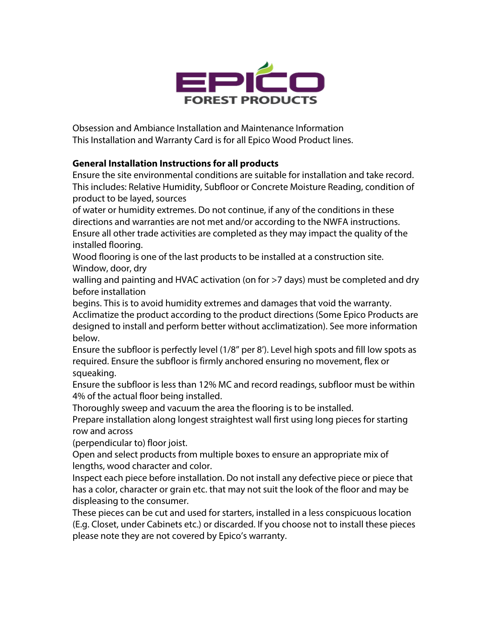

Obsession and Ambiance Installation and Maintenance Information This Installation and Warranty Card is for all Epico Wood Product lines.

# **General Installation Instructions for all products**

Ensure the site environmental conditions are suitable for installation and take record. This includes: Relative Humidity, Subfloor or Concrete Moisture Reading, condition of product to be layed, sources

of water or humidity extremes. Do not continue, if any of the conditions in these directions and warranties are not met and/or according to the NWFA instructions. Ensure all other trade activities are completed as they may impact the quality of the installed flooring.

Wood flooring is one of the last products to be installed at a construction site. Window, door, dry

walling and painting and HVAC activation (on for >7 days) must be completed and dry before installation

begins. This is to avoid humidity extremes and damages that void the warranty.

Acclimatize the product according to the product directions (Some Epico Products are designed to install and perform better without acclimatization). See more information below.

Ensure the subfloor is perfectly level (1/8'' per 8'). Level high spots and fill low spots as required. Ensure the subfloor is firmly anchored ensuring no movement, flex or squeaking.

Ensure the subfloor is less than 12% MC and record readings, subfloor must be within 4% of the actual floor being installed.

Thoroughly sweep and vacuum the area the flooring is to be installed.

Prepare installation along longest straightest wall first using long pieces for starting row and across

(perpendicular to) floor joist.

Open and select products from multiple boxes to ensure an appropriate mix of lengths, wood character and color.

Inspect each piece before installation. Do not install any defective piece or piece that has a color, character or grain etc. that may not suit the look of the floor and may be displeasing to the consumer.

These pieces can be cut and used for starters, installed in a less conspicuous location (E.g. Closet, under Cabinets etc.) or discarded. If you choose not to install these pieces please note they are not covered by Epico's warranty.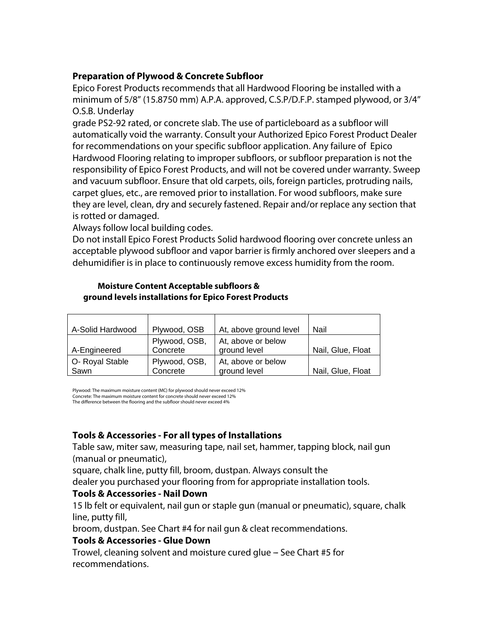### **Preparation of Plywood & Concrete Subfloor**

Epico Forest Products recommends that all Hardwood Flooring be installed with a minimum of 5/8'' (15.8750 mm) A.P.A. approved, C.S.P/D.F.P. stamped plywood, or 3/4'' O.S.B. Underlay

grade PS2-92 rated, or concrete slab. The use of particleboard as a subfloor will automatically void the warranty. Consult your Authorized Epico Forest Product Dealer for recommendations on your specific subfloor application. Any failure of Epico Hardwood Flooring relating to improper subfloors, or subfloor preparation is not the responsibility of Epico Forest Products, and will not be covered under warranty. Sweep and vacuum subfloor. Ensure that old carpets, oils, foreign particles, protruding nails, carpet glues, etc., are removed prior to installation. For wood subfloors, make sure they are level, clean, dry and securely fastened. Repair and/or replace any section that is rotted or damaged.

Always follow local building codes.

Do not install Epico Forest Products Solid hardwood flooring over concrete unless an acceptable plywood subfloor and vapor barrier is firmly anchored over sleepers and a dehumidifier is in place to continuously remove excess humidity from the room.

#### **Moisture Content Acceptable subfloors & ground levels installations for Epico Forest Products**

| A-Solid Hardwood        | Plywood, OSB              | At, above ground level             | Nail              |
|-------------------------|---------------------------|------------------------------------|-------------------|
| A-Engineered            | Plywood, OSB,<br>Concrete | At, above or below<br>ground level | Nail, Glue, Float |
| O- Royal Stable<br>Sawn | Plywood, OSB,<br>Concrete | At, above or below<br>ground level | Nail, Glue, Float |

Plywood: The maximum moisture content (MC) for plywood should never exceed 12% Concrete: The maximum moisture content for concrete should never exceed 12% The difference between the flooring and the subfloor should never exceed 4%

# **Tools & Accessories - For all types of Installations**

Table saw, miter saw, measuring tape, nail set, hammer, tapping block, nail gun (manual or pneumatic),

square, chalk line, putty fill, broom, dustpan. Always consult the

dealer you purchased your flooring from for appropriate installation tools.

# **Tools & Accessories - Nail Down**

15 lb felt or equivalent, nail gun or staple gun (manual or pneumatic), square, chalk line, putty fill,

broom, dustpan. See Chart #4 for nail gun & cleat recommendations.

# **Tools & Accessories - Glue Down**

Trowel, cleaning solvent and moisture cured glue - See Chart #5 for recommendations.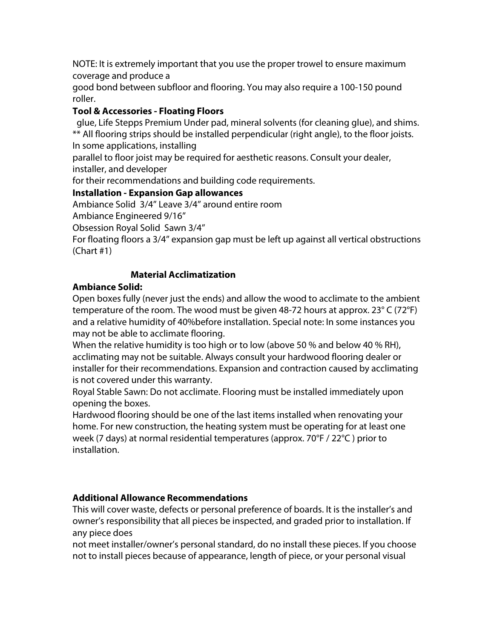NOTE: It is extremely important that you use the proper trowel to ensure maximum coverage and produce a

good bond between subfloor and flooring. You may also require a 100-150 pound roller.

# **Tool & Accessories - Floating Floors**

 glue, Life Stepps Premium Under pad, mineral solvents (for cleaning glue), and shims. \*\* All flooring strips should be installed perpendicular (right angle), to the floor joists. In some applications, installing

parallel to floor joist may be required for aesthetic reasons. Consult your dealer, installer, and developer

for their recommendations and building code requirements.

# **Installation - Expansion Gap allowances**

Ambiance Solid 3/4'' Leave 3/4'' around entire room Ambiance Engineered 9/16''

Obsession Royal Solid Sawn 3/4''

For floating floors a 3/4'' expansion gap must be left up against all vertical obstructions (Chart #1)

# **Material Acclimatization**

# **Ambiance Solid:**

Open boxes fully (never just the ends) and allow the wood to acclimate to the ambient temperature of the room. The wood must be given 48-72 hours at approx. 23° C (72°F) and a relative humidity of 40%before installation. Special note: In some instances you may not be able to acclimate flooring.

When the relative humidity is too high or to low (above 50 % and below 40 % RH), acclimating may not be suitable. Always consult your hardwood flooring dealer or installer for their recommendations. Expansion and contraction caused by acclimating is not covered under this warranty.

Royal Stable Sawn: Do not acclimate. Flooring must be installed immediately upon opening the boxes.

Hardwood flooring should be one of the last items installed when renovating your home. For new construction, the heating system must be operating for at least one week (7 days) at normal residential temperatures (approx.  $70^{\circ}$ F / 22 $^{\circ}$ C) prior to installation.

# **Additional Allowance Recommendations**

This will cover waste, defects or personal preference of boards. It is the installer's and owner's responsibility that all pieces be inspected, and graded prior to installation. If any piece does

not meet installer/owner's personal standard, do no install these pieces. If you choose not to install pieces because of appearance, length of piece, or your personal visual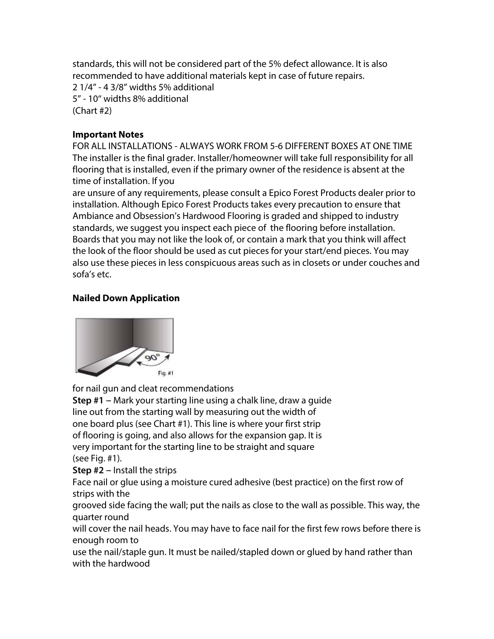standards, this will not be considered part of the 5% defect allowance. It is also recommended to have additional materials kept in case of future repairs.

2 1/4'' - 4 3/8'' widths 5% additional 5'' - 10'' widths 8% additional (Chart #2)

### **Important Notes**

FOR ALL INSTALLATIONS - ALWAYS WORK FROM 5-6 DIFFERENT BOXES AT ONE TIME The installer is the final grader. Installer/homeowner will take full responsibility for all flooring that is installed, even if the primary owner of the residence is absent at the time of installation. If you

are unsure of any requirements, please consult a Epico Forest Products dealer prior to installation. Although Epico Forest Products takes every precaution to ensure that Ambiance and Obsession's Hardwood Flooring is graded and shipped to industry standards, we suggest you inspect each piece of the flooring before installation. Boards that you may not like the look of, or contain a mark that you think will affect the look of the floor should be used as cut pieces for your start/end pieces. You may also use these pieces in less conspicuous areas such as in closets or under couches and sofa's etc.

# **Nailed Down Application**



for nail gun and cleat recommendations

**Step #1** – Mark your starting line using a chalk line, draw a quide line out from the starting wall by measuring out the width of one board plus (see Chart #1). This line is where your first strip of flooring is going, and also allows for the expansion gap. It is very important for the starting line to be straight and square (see Fig. #1).

**Step #2** – Install the strips

Face nail or glue using a moisture cured adhesive (best practice) on the first row of strips with the

grooved side facing the wall; put the nails as close to the wall as possible. This way, the quarter round

will cover the nail heads. You may have to face nail for the first few rows before there is enough room to

use the nail/staple gun. It must be nailed/stapled down or glued by hand rather than with the hardwood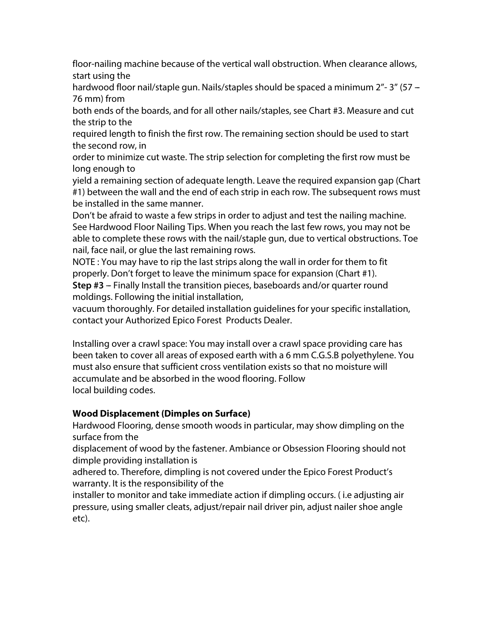floor-nailing machine because of the vertical wall obstruction. When clearance allows, start using the

hardwood floor nail/staple gun. Nails/staples should be spaced a minimum 2"-3" (57 -76 mm) from

both ends of the boards, and for all other nails/staples, see Chart #3. Measure and cut the strip to the

required length to finish the first row. The remaining section should be used to start the second row, in

order to minimize cut waste. The strip selection for completing the first row must be long enough to

yield a remaining section of adequate length. Leave the required expansion gap (Chart #1) between the wall and the end of each strip in each row. The subsequent rows must be installed in the same manner.

Don't be afraid to waste a few strips in order to adjust and test the nailing machine. See Hardwood Floor Nailing Tips. When you reach the last few rows, you may not be able to complete these rows with the nail/staple gun, due to vertical obstructions. Toe nail, face nail, or glue the last remaining rows.

NOTE : You may have to rip the last strips along the wall in order for them to fit properly. Don't forget to leave the minimum space for expansion (Chart #1).

**Step #3** – Finally Install the transition pieces, baseboards and/or quarter round moldings. Following the initial installation,

vacuum thoroughly. For detailed installation guidelines for your specific installation, contact your Authorized Epico Forest Products Dealer.

Installing over a crawl space: You may install over a crawl space providing care has been taken to cover all areas of exposed earth with a 6 mm C.G.S.B polyethylene. You must also ensure that sufficient cross ventilation exists so that no moisture will accumulate and be absorbed in the wood flooring. Follow local building codes.

# **Wood Displacement (Dimples on Surface)**

Hardwood Flooring, dense smooth woods in particular, may show dimpling on the surface from the

displacement of wood by the fastener. Ambiance or Obsession Flooring should not dimple providing installation is

adhered to. Therefore, dimpling is not covered under the Epico Forest Product's warranty. It is the responsibility of the

installer to monitor and take immediate action if dimpling occurs. ( i.e adjusting air pressure, using smaller cleats, adjust/repair nail driver pin, adjust nailer shoe angle etc).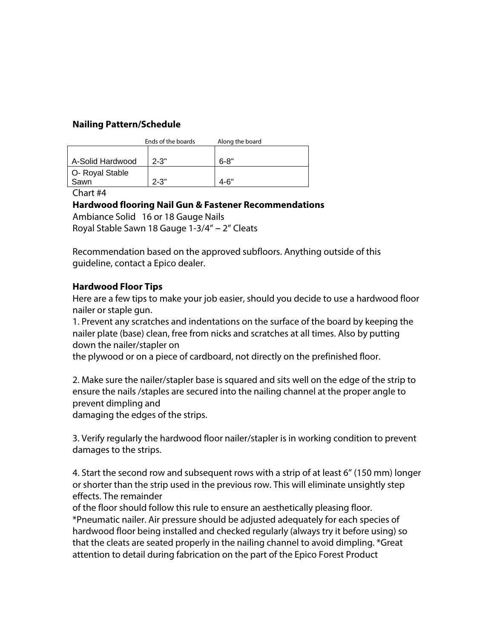### **Nailing Pattern/Schedule**

|                  | Ends of the boards | Along the board |  |
|------------------|--------------------|-----------------|--|
|                  |                    |                 |  |
| A-Solid Hardwood | $2 - 3"$           | $6 - 8"$        |  |
| O- Royal Stable  |                    |                 |  |
| Sawn             | $2 - 3"$           | 4-6"            |  |

Chart #4

### **Hardwood flooring Nail Gun & Fastener Recommendations**

Ambiance Solid 16 or 18 Gauge Nails

Royal Stable Sawn 18 Gauge  $1-3/4'' - 2''$  Cleats

Recommendation based on the approved subfloors. Anything outside of this guideline, contact a Epico dealer.

### **Hardwood Floor Tips**

Here are a few tips to make your job easier, should you decide to use a hardwood floor nailer or staple gun.

1. Prevent any scratches and indentations on the surface of the board by keeping the nailer plate (base) clean, free from nicks and scratches at all times. Also by putting down the nailer/stapler on

the plywood or on a piece of cardboard, not directly on the prefinished floor.

2. Make sure the nailer/stapler base is squared and sits well on the edge of the strip to ensure the nails /staples are secured into the nailing channel at the proper angle to prevent dimpling and

damaging the edges of the strips.

3. Verify regularly the hardwood floor nailer/stapler is in working condition to prevent damages to the strips.

4. Start the second row and subsequent rows with a strip of at least 6'' (150 mm) longer or shorter than the strip used in the previous row. This will eliminate unsightly step effects. The remainder

of the floor should follow this rule to ensure an aesthetically pleasing floor. \*Pneumatic nailer. Air pressure should be adjusted adequately for each species of hardwood floor being installed and checked regularly (always try it before using) so that the cleats are seated properly in the nailing channel to avoid dimpling. \*Great attention to detail during fabrication on the part of the Epico Forest Product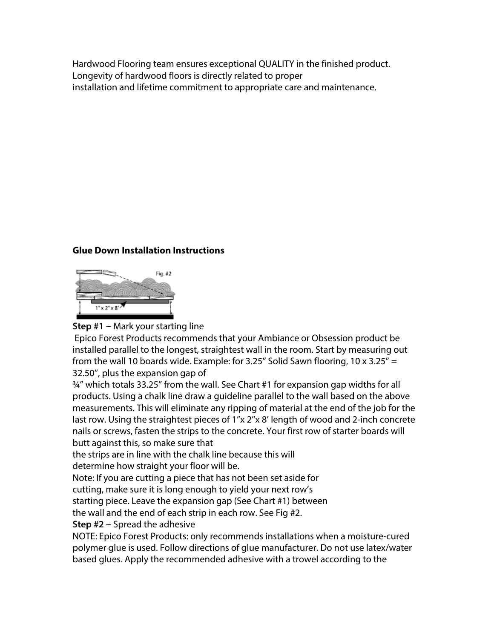Hardwood Flooring team ensures exceptional QUALITY in the finished product. Longevity of hardwood floors is directly related to proper installation and lifetime commitment to appropriate care and maintenance.

# **Glue Down Installation Instructions**



# **Step #1 – Mark your starting line**

Epico Forest Products recommends that your Ambiance or Obsession product be installed parallel to the longest, straightest wall in the room. Start by measuring out from the wall 10 boards wide. Example: for 3.25" Solid Sawn flooring, 10 x 3.25" = 32.50'', plus the expansion gap of

¾'' which totals 33.25'' from the wall. See Chart #1 for expansion gap widths for all products. Using a chalk line draw a guideline parallel to the wall based on the above measurements. This will eliminate any ripping of material at the end of the job for the last row. Using the straightest pieces of 1"x 2"x 8' length of wood and 2-inch concrete nails or screws, fasten the strips to the concrete. Your first row of starter boards will butt against this, so make sure that

the strips are in line with the chalk line because this will

determine how straight your floor will be.

Note: If you are cutting a piece that has not been set aside for

cutting, make sure it is long enough to yield your next row's

starting piece. Leave the expansion gap (See Chart #1) between

the wall and the end of each strip in each row. See Fig #2.

**Step #2 - Spread the adhesive** 

NOTE: Epico Forest Products: only recommends installations when a moisture-cured polymer glue is used. Follow directions of glue manufacturer. Do not use latex/water based glues. Apply the recommended adhesive with a trowel according to the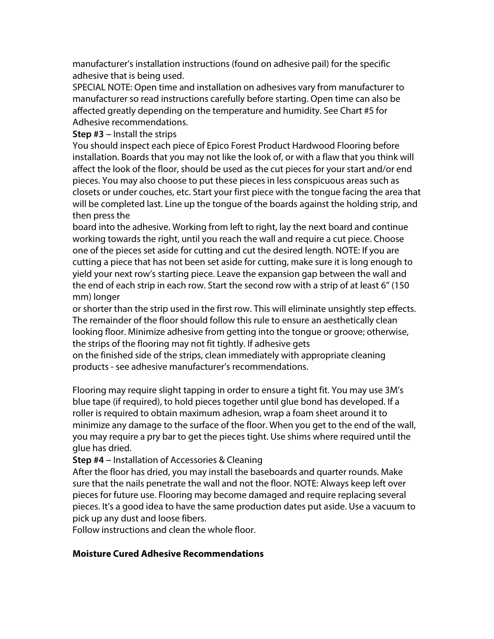manufacturer's installation instructions (found on adhesive pail) for the specific adhesive that is being used.

SPECIAL NOTE: Open time and installation on adhesives vary from manufacturer to manufacturer so read instructions carefully before starting. Open time can also be affected greatly depending on the temperature and humidity. See Chart #5 for Adhesive recommendations.

**Step #3** – Install the strips

You should inspect each piece of Epico Forest Product Hardwood Flooring before installation. Boards that you may not like the look of, or with a flaw that you think will affect the look of the floor, should be used as the cut pieces for your start and/or end pieces. You may also choose to put these pieces in less conspicuous areas such as closets or under couches, etc. Start your first piece with the tongue facing the area that will be completed last. Line up the tongue of the boards against the holding strip, and then press the

board into the adhesive. Working from left to right, lay the next board and continue working towards the right, until you reach the wall and require a cut piece. Choose one of the pieces set aside for cutting and cut the desired length. NOTE: If you are cutting a piece that has not been set aside for cutting, make sure it is long enough to yield your next row's starting piece. Leave the expansion gap between the wall and the end of each strip in each row. Start the second row with a strip of at least 6'' (150 mm) longer

or shorter than the strip used in the first row. This will eliminate unsightly step effects. The remainder of the floor should follow this rule to ensure an aesthetically clean looking floor. Minimize adhesive from getting into the tongue or groove; otherwise, the strips of the flooring may not fit tightly. If adhesive gets

on the finished side of the strips, clean immediately with appropriate cleaning products - see adhesive manufacturer's recommendations.

Flooring may require slight tapping in order to ensure a tight fit. You may use 3M's blue tape (if required), to hold pieces together until glue bond has developed. If a roller is required to obtain maximum adhesion, wrap a foam sheet around it to minimize any damage to the surface of the floor. When you get to the end of the wall, you may require a pry bar to get the pieces tight. Use shims where required until the glue has dried.

**Step #4** – Installation of Accessories & Cleaning

After the floor has dried, you may install the baseboards and quarter rounds. Make sure that the nails penetrate the wall and not the floor. NOTE: Always keep left over pieces for future use. Flooring may become damaged and require replacing several pieces. It's a good idea to have the same production dates put aside. Use a vacuum to pick up any dust and loose fibers.

Follow instructions and clean the whole floor.

# **Moisture Cured Adhesive Recommendations**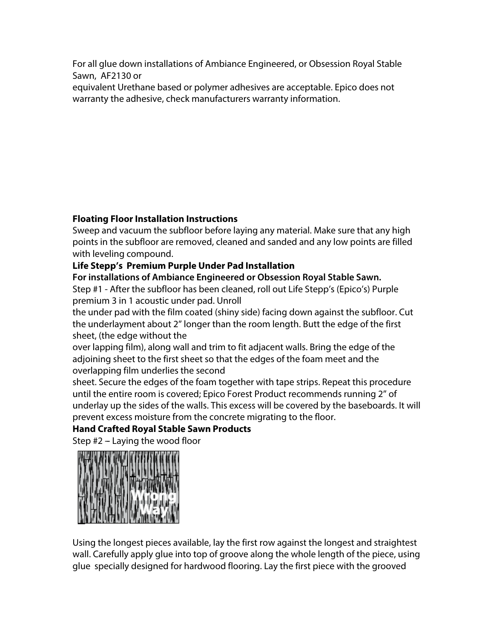For all glue down installations of Ambiance Engineered, or Obsession Royal Stable Sawn, AF2130 or

equivalent Urethane based or polymer adhesives are acceptable. Epico does not warranty the adhesive, check manufacturers warranty information.

# **Floating Floor Installation Instructions**

Sweep and vacuum the subfloor before laying any material. Make sure that any high points in the subfloor are removed, cleaned and sanded and any low points are filled with leveling compound.

# **Life Stepp's Premium Purple Under Pad Installation**

**For installations of Ambiance Engineered or Obsession Royal Stable Sawn.** Step #1 - After the subfloor has been cleaned, roll out Life Stepp's (Epico's) Purple premium 3 in 1 acoustic under pad. Unroll

the under pad with the film coated (shiny side) facing down against the subfloor. Cut the underlayment about 2'' longer than the room length. Butt the edge of the first sheet, (the edge without the

over lapping film), along wall and trim to fit adjacent walls. Bring the edge of the adjoining sheet to the first sheet so that the edges of the foam meet and the overlapping film underlies the second

sheet. Secure the edges of the foam together with tape strips. Repeat this procedure until the entire room is covered; Epico Forest Product recommends running 2'' of underlay up the sides of the walls. This excess will be covered by the baseboards. It will prevent excess moisture from the concrete migrating to the floor.

# **Hand Crafted Royal Stable Sawn Products**

Step  $#2$  – Laying the wood floor



Using the longest pieces available, lay the first row against the longest and straightest wall. Carefully apply glue into top of groove along the whole length of the piece, using glue specially designed for hardwood flooring. Lay the first piece with the grooved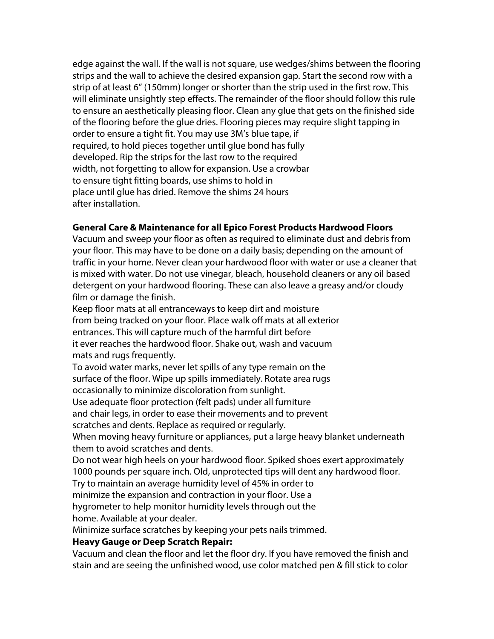edge against the wall. If the wall is not square, use wedges/shims between the flooring strips and the wall to achieve the desired expansion gap. Start the second row with a strip of at least 6'' (150mm) longer or shorter than the strip used in the first row. This will eliminate unsightly step effects. The remainder of the floor should follow this rule to ensure an aesthetically pleasing floor. Clean any glue that gets on the finished side of the flooring before the glue dries. Flooring pieces may require slight tapping in order to ensure a tight fit. You may use 3M's blue tape, if required, to hold pieces together until glue bond has fully developed. Rip the strips for the last row to the required width, not forgetting to allow for expansion. Use a crowbar to ensure tight fitting boards, use shims to hold in place until glue has dried. Remove the shims 24 hours after installation.

### **General Care & Maintenance for all Epico Forest Products Hardwood Floors**

Vacuum and sweep your floor as often as required to eliminate dust and debris from your floor. This may have to be done on a daily basis; depending on the amount of traffic in your home. Never clean your hardwood floor with water or use a cleaner that is mixed with water. Do not use vinegar, bleach, household cleaners or any oil based detergent on your hardwood flooring. These can also leave a greasy and/or cloudy film or damage the finish.

Keep floor mats at all entranceways to keep dirt and moisture from being tracked on your floor. Place walk off mats at all exterior entrances. This will capture much of the harmful dirt before it ever reaches the hardwood floor. Shake out, wash and vacuum mats and rugs frequently.

To avoid water marks, never let spills of any type remain on the surface of the floor. Wipe up spills immediately. Rotate area rugs occasionally to minimize discoloration from sunlight.

Use adequate floor protection (felt pads) under all furniture and chair legs, in order to ease their movements and to prevent scratches and dents. Replace as required or regularly.

When moving heavy furniture or appliances, put a large heavy blanket underneath them to avoid scratches and dents.

Do not wear high heels on your hardwood floor. Spiked shoes exert approximately 1000 pounds per square inch. Old, unprotected tips will dent any hardwood floor.

Try to maintain an average humidity level of 45% in order to

minimize the expansion and contraction in your floor. Use a

hygrometer to help monitor humidity levels through out the home. Available at your dealer.

Minimize surface scratches by keeping your pets nails trimmed.

### **Heavy Gauge or Deep Scratch Repair:**

Vacuum and clean the floor and let the floor dry. If you have removed the finish and stain and are seeing the unfinished wood, use color matched pen & fill stick to color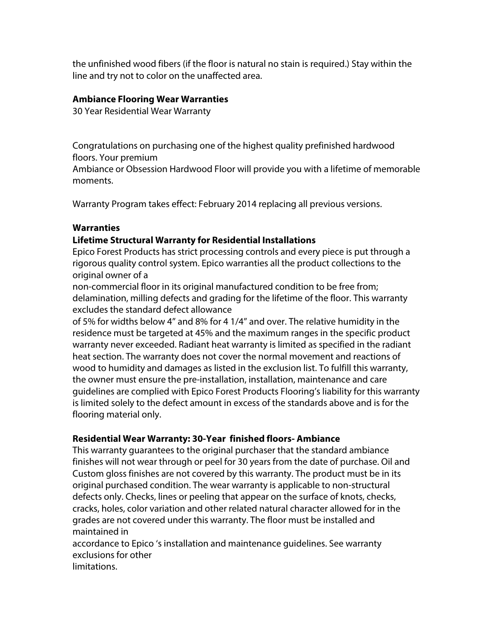the unfinished wood fibers (if the floor is natural no stain is required.) Stay within the line and try not to color on the unaffected area.

#### **Ambiance Flooring Wear Warranties**

30 Year Residential Wear Warranty

Congratulations on purchasing one of the highest quality prefinished hardwood floors. Your premium

Ambiance or Obsession Hardwood Floor will provide you with a lifetime of memorable moments.

Warranty Program takes effect: February 2014 replacing all previous versions.

#### **Warranties**

#### **Lifetime Structural Warranty for Residential Installations**

Epico Forest Products has strict processing controls and every piece is put through a rigorous quality control system. Epico warranties all the product collections to the original owner of a

non-commercial floor in its original manufactured condition to be free from; delamination, milling defects and grading for the lifetime of the floor. This warranty excludes the standard defect allowance

of 5% for widths below 4'' and 8% for 4 1/4'' and over. The relative humidity in the residence must be targeted at 45% and the maximum ranges in the specific product warranty never exceeded. Radiant heat warranty is limited as specified in the radiant heat section. The warranty does not cover the normal movement and reactions of wood to humidity and damages as listed in the exclusion list. To fulfill this warranty, the owner must ensure the pre-installation, installation, maintenance and care guidelines are complied with Epico Forest Products Flooring's liability for this warranty is limited solely to the defect amount in excess of the standards above and is for the flooring material only.

#### **Residential Wear Warranty: 30-Year finished floors- Ambiance**

This warranty guarantees to the original purchaser that the standard ambiance finishes will not wear through or peel for 30 years from the date of purchase. Oil and Custom gloss finishes are not covered by this warranty. The product must be in its original purchased condition. The wear warranty is applicable to non-structural defects only. Checks, lines or peeling that appear on the surface of knots, checks, cracks, holes, color variation and other related natural character allowed for in the grades are not covered under this warranty. The floor must be installed and maintained in

accordance to Epico 's installation and maintenance guidelines. See warranty exclusions for other limitations.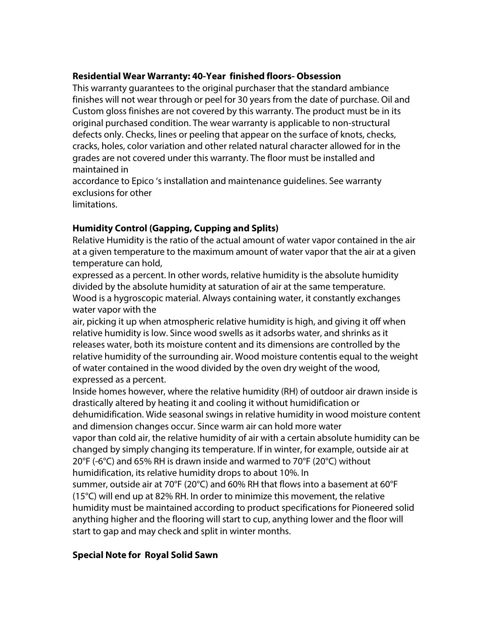### **Residential Wear Warranty: 40-Year finished floors- Obsession**

This warranty guarantees to the original purchaser that the standard ambiance finishes will not wear through or peel for 30 years from the date of purchase. Oil and Custom gloss finishes are not covered by this warranty. The product must be in its original purchased condition. The wear warranty is applicable to non-structural defects only. Checks, lines or peeling that appear on the surface of knots, checks, cracks, holes, color variation and other related natural character allowed for in the grades are not covered under this warranty. The floor must be installed and maintained in

accordance to Epico 's installation and maintenance guidelines. See warranty exclusions for other limitations.

### **Humidity Control (Gapping, Cupping and Splits)**

Relative Humidity is the ratio of the actual amount of water vapor contained in the air at a given temperature to the maximum amount of water vapor that the air at a given temperature can hold,

expressed as a percent. In other words, relative humidity is the absolute humidity divided by the absolute humidity at saturation of air at the same temperature. Wood is a hygroscopic material. Always containing water, it constantly exchanges water vapor with the

air, picking it up when atmospheric relative humidity is high, and giving it off when relative humidity is low. Since wood swells as it adsorbs water, and shrinks as it releases water, both its moisture content and its dimensions are controlled by the relative humidity of the surrounding air. Wood moisture contentis equal to the weight of water contained in the wood divided by the oven dry weight of the wood, expressed as a percent.

Inside homes however, where the relative humidity (RH) of outdoor air drawn inside is drastically altered by heating it and cooling it without humidification or dehumidification. Wide seasonal swings in relative humidity in wood moisture content

and dimension changes occur. Since warm air can hold more water vapor than cold air, the relative humidity of air with a certain absolute humidity can be changed by simply changing its temperature. If in winter, for example, outside air at

20°F (-6°C) and 65% RH is drawn inside and warmed to 70°F (20°C) without

humidification, its relative humidity drops to about 10%. In

summer, outside air at 70°F (20°C) and 60% RH that flows into a basement at 60°F (15°C) will end up at 82% RH. In order to minimize this movement, the relative humidity must be maintained according to product specifications for Pioneered solid anything higher and the flooring will start to cup, anything lower and the floor will start to gap and may check and split in winter months.

# **Special Note for Royal Solid Sawn**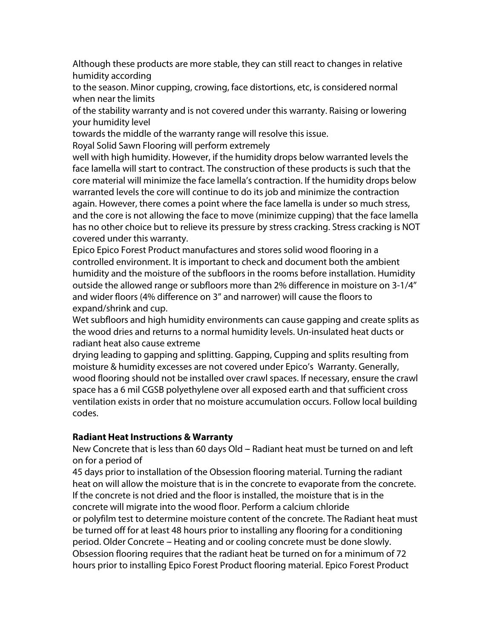Although these products are more stable, they can still react to changes in relative humidity according

to the season. Minor cupping, crowing, face distortions, etc, is considered normal when near the limits

of the stability warranty and is not covered under this warranty. Raising or lowering your humidity level

towards the middle of the warranty range will resolve this issue.

Royal Solid Sawn Flooring will perform extremely

well with high humidity. However, if the humidity drops below warranted levels the face lamella will start to contract. The construction of these products is such that the core material will minimize the face lamella's contraction. If the humidity drops below warranted levels the core will continue to do its job and minimize the contraction again. However, there comes a point where the face lamella is under so much stress, and the core is not allowing the face to move (minimize cupping) that the face lamella has no other choice but to relieve its pressure by stress cracking. Stress cracking is NOT covered under this warranty.

Epico Epico Forest Product manufactures and stores solid wood flooring in a controlled environment. It is important to check and document both the ambient humidity and the moisture of the subfloors in the rooms before installation. Humidity outside the allowed range or subfloors more than 2% difference in moisture on 3-1/4'' and wider floors (4% difference on 3'' and narrower) will cause the floors to expand/shrink and cup.

Wet subfloors and high humidity environments can cause gapping and create splits as the wood dries and returns to a normal humidity levels. Un-insulated heat ducts or radiant heat also cause extreme

drying leading to gapping and splitting. Gapping, Cupping and splits resulting from moisture & humidity excesses are not covered under Epico's Warranty. Generally, wood flooring should not be installed over crawl spaces. If necessary, ensure the crawl space has a 6 mil CGSB polyethylene over all exposed earth and that sufficient cross ventilation exists in order that no moisture accumulation occurs. Follow local building codes.

# **Radiant Heat Instructions & Warranty**

New Concrete that is less than 60 days Old - Radiant heat must be turned on and left on for a period of

45 days prior to installation of the Obsession flooring material. Turning the radiant heat on will allow the moisture that is in the concrete to evaporate from the concrete. If the concrete is not dried and the floor is installed, the moisture that is in the concrete will migrate into the wood floor. Perform a calcium chloride or polyfilm test to determine moisture content of the concrete. The Radiant heat must be turned off for at least 48 hours prior to installing any flooring for a conditioning period. Older Concrete – Heating and or cooling concrete must be done slowly. Obsession flooring requires that the radiant heat be turned on for a minimum of 72 hours prior to installing Epico Forest Product flooring material. Epico Forest Product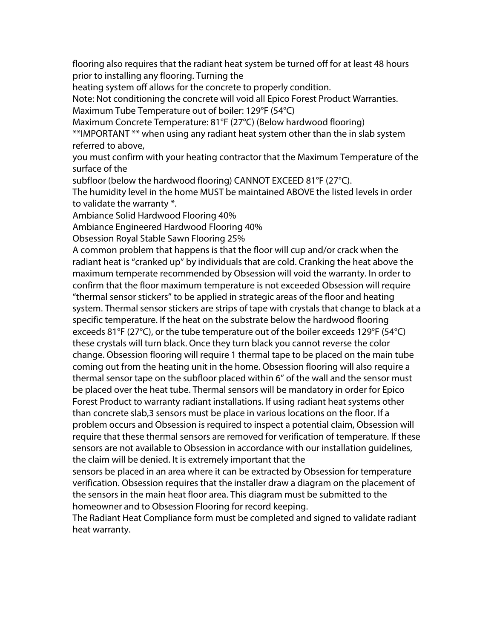flooring also requires that the radiant heat system be turned off for at least 48 hours prior to installing any flooring. Turning the

heating system off allows for the concrete to properly condition.

Note: Not conditioning the concrete will void all Epico Forest Product Warranties. Maximum Tube Temperature out of boiler: 129°F (54°C)

Maximum Concrete Temperature: 81°F (27°C) (Below hardwood flooring)

\*\*IMPORTANT \*\* when using any radiant heat system other than the in slab system referred to above,

you must confirm with your heating contractor that the Maximum Temperature of the surface of the

subfloor (below the hardwood flooring) CANNOT EXCEED 81°F (27°C).

The humidity level in the home MUST be maintained ABOVE the listed levels in order to validate the warranty \*.

Ambiance Solid Hardwood Flooring 40%

Ambiance Engineered Hardwood Flooring 40%

Obsession Royal Stable Sawn Flooring 25%

A common problem that happens is that the floor will cup and/or crack when the radiant heat is "cranked up" by individuals that are cold. Cranking the heat above the maximum temperate recommended by Obsession will void the warranty. In order to confirm that the floor maximum temperature is not exceeded Obsession will require ''thermal sensor stickers'' to be applied in strategic areas of the floor and heating system. Thermal sensor stickers are strips of tape with crystals that change to black at a specific temperature. If the heat on the substrate below the hardwood flooring exceeds 81°F (27°C), or the tube temperature out of the boiler exceeds 129°F (54°C) these crystals will turn black. Once they turn black you cannot reverse the color change. Obsession flooring will require 1 thermal tape to be placed on the main tube coming out from the heating unit in the home. Obsession flooring will also require a thermal sensor tape on the subfloor placed within 6'' of the wall and the sensor must be placed over the heat tube. Thermal sensors will be mandatory in order for Epico Forest Product to warranty radiant installations. If using radiant heat systems other than concrete slab,3 sensors must be place in various locations on the floor. If a problem occurs and Obsession is required to inspect a potential claim, Obsession will require that these thermal sensors are removed for verification of temperature. If these sensors are not available to Obsession in accordance with our installation guidelines, the claim will be denied. It is extremely important that the

sensors be placed in an area where it can be extracted by Obsession for temperature verification. Obsession requires that the installer draw a diagram on the placement of the sensors in the main heat floor area. This diagram must be submitted to the homeowner and to Obsession Flooring for record keeping.

The Radiant Heat Compliance form must be completed and signed to validate radiant heat warranty.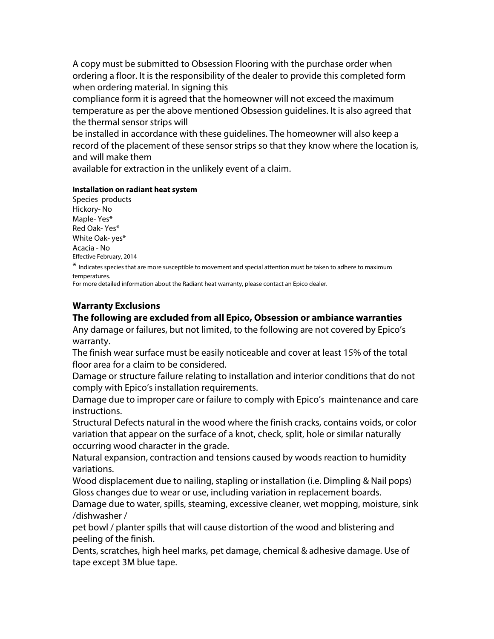A copy must be submitted to Obsession Flooring with the purchase order when ordering a floor. It is the responsibility of the dealer to provide this completed form when ordering material. In signing this

compliance form it is agreed that the homeowner will not exceed the maximum temperature as per the above mentioned Obsession guidelines. It is also agreed that the thermal sensor strips will

be installed in accordance with these guidelines. The homeowner will also keep a record of the placement of these sensor strips so that they know where the location is, and will make them

available for extraction in the unlikely event of a claim.

#### **Installation on radiant heat system**

Species products Hickory- No Maple- Yes\* Red Oak- Yes\* White Oak- yes\* Acacia - No Effective February, 2014

\* Indicates species that are more susceptible to movement and special attention must be taken to adhere to maximum temperatures.

For more detailed information about the Radiant heat warranty, please contact an Epico dealer.

# **Warranty Exclusions**

### **The following are excluded from all Epico, Obsession or ambiance warranties**

Any damage or failures, but not limited, to the following are not covered by Epico's warranty.

The finish wear surface must be easily noticeable and cover at least 15% of the total floor area for a claim to be considered.

Damage or structure failure relating to installation and interior conditions that do not comply with Epico's installation requirements.

Damage due to improper care or failure to comply with Epico's maintenance and care instructions.

Structural Defects natural in the wood where the finish cracks, contains voids, or color variation that appear on the surface of a knot, check, split, hole or similar naturally occurring wood character in the grade.

Natural expansion, contraction and tensions caused by woods reaction to humidity variations.

Wood displacement due to nailing, stapling or installation (i.e. Dimpling & Nail pops) Gloss changes due to wear or use, including variation in replacement boards.

Damage due to water, spills, steaming, excessive cleaner, wet mopping, moisture, sink /dishwasher /

pet bowl / planter spills that will cause distortion of the wood and blistering and peeling of the finish.

Dents, scratches, high heel marks, pet damage, chemical & adhesive damage. Use of tape except 3M blue tape.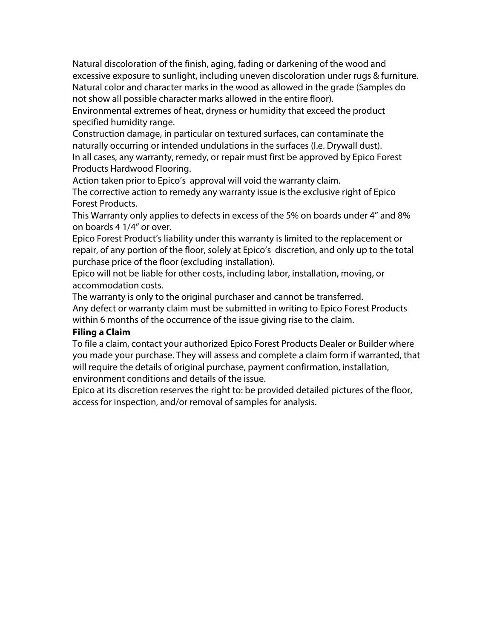Natural discoloration of the finish, aging, fading or darkening of the wood and excessive exposure to sunlight, including uneven discoloration under rugs & furniture. Natural color and character marks in the wood as allowed in the grade (Samples do not show all possible character marks allowed in the entire floor).

Environmental extremes of heat, dryness or humidity that exceed the product specified humidity range.

Construction damage, in particular on textured surfaces, can contaminate the naturally occurring or intended undulations in the surfaces (I.e. Drywall dust). In all cases, any warranty, remedy, or repair must first be approved by Epico Forest Products Hardwood Flooring.

Action taken prior to Epico's approval will void the warranty claim.

The corrective action to remedy any warranty issue is the exclusive right of Epico Forest Products.

This Warranty only applies to defects in excess of the 5% on boards under 4'' and 8% on boards 4 1/4'' or over.

Epico Forest Product's liability under this warranty is limited to the replacement or repair, of any portion of the floor, solely at Epico's discretion, and only up to the total purchase price of the floor (excluding installation).

Epico will not be liable for other costs, including labor, installation, moving, or accommodation costs.

The warranty is only to the original purchaser and cannot be transferred. Any defect or warranty claim must be submitted in writing to Epico Forest Products within 6 months of the occurrence of the issue giving rise to the claim.

# **Filing a Claim**

To file a claim, contact your authorized Epico Forest Products Dealer or Builder where you made your purchase. They will assess and complete a claim form if warranted, that will require the details of original purchase, payment confirmation, installation, environment conditions and details of the issue.

Epico at its discretion reserves the right to: be provided detailed pictures of the floor, access for inspection, and/or removal of samples for analysis.